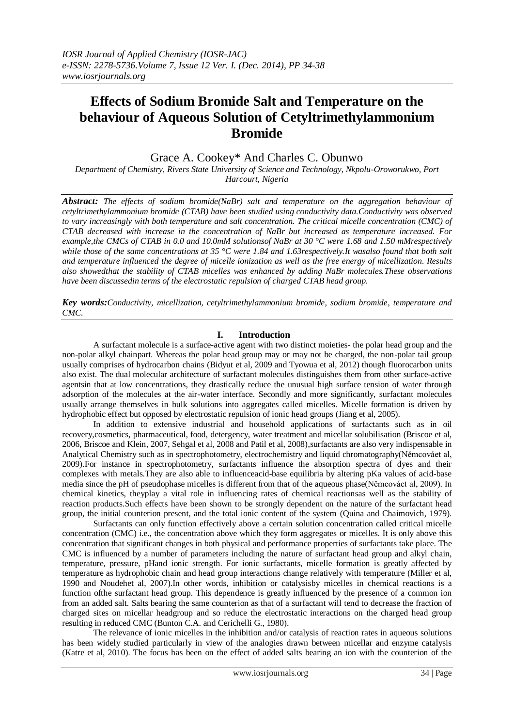# **Effects of Sodium Bromide Salt and Temperature on the behaviour of Aqueous Solution of Cetyltrimethylammonium Bromide**

# Grace A. Cookey\* And Charles C. Obunwo

*Department of Chemistry, Rivers State University of Science and Technology, Nkpolu-Oroworukwo, Port Harcourt, Nigeria*

*Abstract: The effects of sodium bromide(NaBr) salt and temperature on the aggregation behaviour of cetyltrimethylammonium bromide (CTAB) have been studied using conductivity data.Conductivity was observed to vary increasingly with both temperature and salt concentration. The critical micelle concentration (CMC) of CTAB decreased with increase in the concentration of NaBr but increased as temperature increased. For example,the CMCs of CTAB in 0.0 and 10.0mM solutionsof NaBr at 30 °C were 1.68 and 1.50 mMrespectively while those of the same concentrations at 35 °C were 1.84 and 1.63respectively.It wasalso found that both salt and temperature influenced the degree of micelle ionization as well as the free energy of micellization. Results also showedthat the stability of CTAB micelles was enhanced by adding NaBr molecules.These observations have been discussedin terms of the electrostatic repulsion of charged CTAB head group.*

*Key words:Conductivity, micellization, cetyltrimethylammonium bromide, sodium bromide, temperature and CMC.*

# **I. Introduction**

A surfactant molecule is a surface-active agent with two distinct moieties- the polar head group and the non-polar alkyl chainpart. Whereas the polar head group may or may not be charged, the non-polar tail group usually comprises of hydrocarbon chains (Bidyut et al, 2009 and Tyowua et al, 2012) though fluorocarbon units also exist. The dual molecular architecture of surfactant molecules distinguishes them from other surface-active agentsin that at low concentrations, they drastically reduce the unusual high surface tension of water through adsorption of the molecules at the air-water interface. Secondly and more significantly, surfactant molecules usually arrange themselves in bulk solutions into aggregates called micelles. Micelle formation is driven by hydrophobic effect but opposed by electrostatic repulsion of ionic head groups (Jiang et al, 2005).

In addition to extensive industrial and household applications of surfactants such as in oil recovery,cosmetics, pharmaceutical, food, detergency, water treatment and micellar solubilisation (Briscoe et al, 2006, Briscoe and Klein, 2007, Sehgal et al, 2008 and Patil et al, 2008),surfactants are also very indispensable in Analytical Chemistry such as in spectrophotometry, electrochemistry and liquid chromatography(Němcováet al, 2009).For instance in spectrophotometry, surfactants influence the absorption spectra of dyes and their complexes with metals.They are also able to influenceacid-base equilibria by altering pKa values of acid-base media since the pH of pseudophase micelles is different from that of the aqueous phase(Němcováet al, 2009). In chemical kinetics, theyplay a vital role in influencing rates of chemical reactionsas well as the stability of reaction products.Such effects have been shown to be strongly dependent on the nature of the surfactant head group, the initial counterion present, and the total ionic content of the system (Quina and Chaimovich, 1979).

Surfactants can only function effectively above a certain solution concentration called critical micelle concentration (CMC) i.e., the concentration above which they form aggregates or micelles. It is only above this concentration that significant changes in both physical and performance properties of surfactants take place. The CMC is influenced by a number of parameters including the nature of surfactant head group and alkyl chain, temperature, pressure, pHand ionic strength. For ionic surfactants, micelle formation is greatly affected by temperature as hydrophobic chain and head group interactions change relatively with temperature (Miller et al, 1990 and Noudehet al, 2007).In other words, inhibition or catalysisby micelles in chemical reactions is a function ofthe surfactant head group. This dependence is greatly influenced by the presence of a common ion from an added salt. Salts bearing the same counterion as that of a surfactant will tend to decrease the fraction of charged sites on micellar headgroup and so reduce the electrostatic interactions on the charged head group resulting in reduced CMC (Bunton C.A. and Cerichelli G., 1980).

The relevance of ionic micelles in the inhibition and/or catalysis of reaction rates in aqueous solutions has been widely studied particularly in view of the analogies drawn between micellar and enzyme catalysis (Katre et al, 2010). The focus has been on the effect of added salts bearing an ion with the counterion of the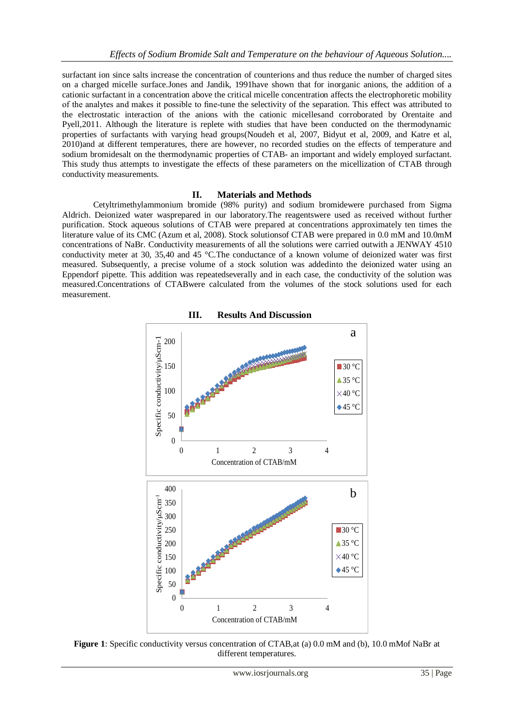surfactant ion since salts increase the concentration of counterions and thus reduce the number of charged sites on a charged micelle surface.Jones and Jandik, 1991have shown that for inorganic anions, the addition of a cationic surfactant in a concentration above the critical micelle concentration affects the electrophoretic mobility of the analytes and makes it possible to fine-tune the selectivity of the separation. This effect was attributed to the electrostatic interaction of the anions with the cationic micellesand corroborated by Orentaite and Pyell,2011. Although the literature is replete with studies that have been conducted on the thermodynamic properties of surfactants with varying head groups(Noudeh et al, 2007, Bidyut et al, 2009, and Katre et al, 2010)and at different temperatures, there are however, no recorded studies on the effects of temperature and sodium bromidesalt on the thermodynamic properties of CTAB- an important and widely employed surfactant. This study thus attempts to investigate the effects of these parameters on the micellization of CTAB through conductivity measurements.

## **II. Materials and Methods**

Cetyltrimethylammonium bromide (98% purity) and sodium bromidewere purchased from Sigma Aldrich. Deionized water wasprepared in our laboratory.The reagentswere used as received without further purification. Stock aqueous solutions of CTAB were prepared at concentrations approximately ten times the literature value of its CMC (Azum et al, 2008). Stock solutionsof CTAB were prepared in 0.0 mM and 10.0mM concentrations of NaBr. Conductivity measurements of all the solutions were carried outwith a JENWAY 4510 conductivity meter at 30, 35,40 and 45 °C.The conductance of a known volume of deionized water was first measured. Subsequently, a precise volume of a stock solution was addedinto the deionized water using an Eppendorf pipette. This addition was repeatedseverally and in each case, the conductivity of the solution was measured.Concentrations of CTABwere calculated from the volumes of the stock solutions used for each measurement.



**III. Results And Discussion**

**Figure 1**: Specific conductivity versus concentration of CTAB,at (a) 0.0 mM and (b), 10.0 mMof NaBr at different temperatures.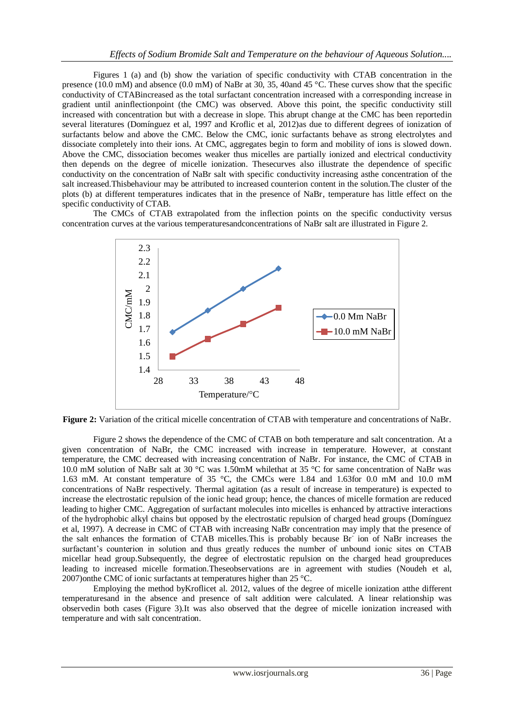Figures 1 (a) and (b) show the variation of specific conductivity with CTAB concentration in the presence (10.0 mM) and absence (0.0 mM) of NaBr at 30, 35, 40and 45 °C. These curves show that the specific conductivity of CTABincreased as the total surfactant concentration increased with a corresponding increase in gradient until aninflectionpoint (the CMC) was observed. Above this point, the specific conductivity still increased with concentration but with a decrease in slope. This abrupt change at the CMC has been reportedin several literatures (Domínguez et al, 1997 and Kroflic et al, 2012)as due to different degrees of ionization of surfactants below and above the CMC. Below the CMC, ionic surfactants behave as strong electrolytes and dissociate completely into their ions. At CMC, aggregates begin to form and mobility of ions is slowed down. Above the CMC, dissociation becomes weaker thus micelles are partially ionized and electrical conductivity then depends on the degree of micelle ionization. Thesecurves also illustrate the dependence of specific conductivity on the concentration of NaBr salt with specific conductivity increasing asthe concentration of the salt increased.Thisbehaviour may be attributed to increased counterion content in the solution.The cluster of the plots (b) at different temperatures indicates that in the presence of NaBr, temperature has little effect on the specific conductivity of CTAB.

The CMCs of CTAB extrapolated from the inflection points on the specific conductivity versus concentration curves at the various temperaturesandconcentrations of NaBr salt are illustrated in Figure 2.



**Figure 2:** Variation of the critical micelle concentration of CTAB with temperature and concentrations of NaBr.

Figure 2 shows the dependence of the CMC of CTAB on both temperature and salt concentration. At a given concentration of NaBr, the CMC increased with increase in temperature. However, at constant temperature, the CMC decreased with increasing concentration of NaBr. For instance, the CMC of CTAB in 10.0 mM solution of NaBr salt at 30 °C was 1.50mM whilethat at 35 °C for same concentration of NaBr was 1.63 mM. At constant temperature of 35 °C, the CMCs were 1.84 and 1.63for 0.0 mM and 10.0 mM concentrations of NaBr respectively. Thermal agitation (as a result of increase in temperature) is expected to increase the electrostatic repulsion of the ionic head group; hence, the chances of micelle formation are reduced leading to higher CMC. Aggregation of surfactant molecules into micelles is enhanced by attractive interactions of the hydrophobic alkyl chains but opposed by the electrostatic repulsion of charged head groups (Domínguez et al, 1997). A decrease in CMC of CTAB with increasing NaBr concentration may imply that the presence of the salt enhances the formation of CTAB micelles. This is probably because Br<sup>-</sup> ion of NaBr increases the surfactant's counterion in solution and thus greatly reduces the number of unbound ionic sites on CTAB micellar head group.Subsequently, the degree of electrostatic repulsion on the charged head groupreduces leading to increased micelle formation.Theseobservations are in agreement with studies (Noudeh et al, 2007)onthe CMC of ionic surfactants at temperatures higher than 25 °C.

Employing the method byKroflicet al. 2012, values of the degree of micelle ionization atthe different temperaturesand in the absence and presence of salt addition were calculated. A linear relationship was observedin both cases (Figure 3).It was also observed that the degree of micelle ionization increased with temperature and with salt concentration.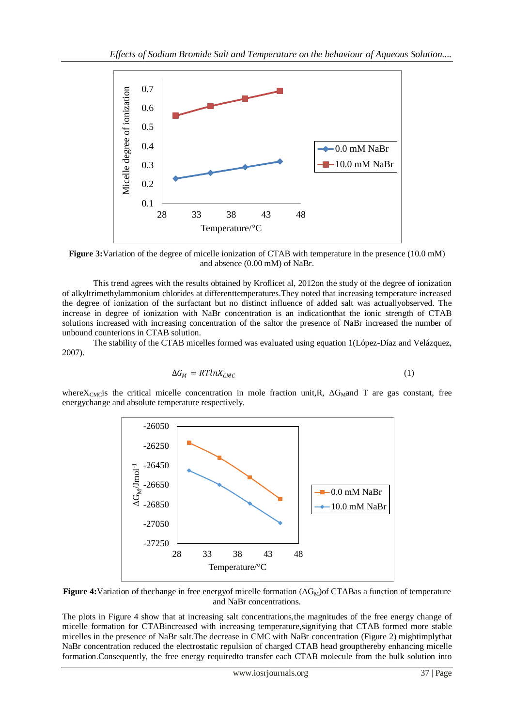

**Figure 3:**Variation of the degree of micelle ionization of CTAB with temperature in the presence (10.0 mM) and absence (0.00 mM) of NaBr.

This trend agrees with the results obtained by Kroflicet al, 2012on the study of the degree of ionization of alkyltrimethylammonium chlorides at differenttemperatures.They noted that increasing temperature increased the degree of ionization of the surfactant but no distinct influence of added salt was actuallyobserved. The increase in degree of ionization with NaBr concentration is an indicationthat the ionic strength of CTAB solutions increased with increasing concentration of the saltor the presence of NaBr increased the number of unbound counterions in CTAB solution.

The stability of the CTAB micelles formed was evaluated using equation 1(López-Díaz and Velázquez, 2007).

$$
\Delta G_M = RTlnX_{CMC} \tag{1}
$$

where $X_{\text{CMC}}$  is the critical micelle concentration in mole fraction unit,R,  $\Delta G_{\text{M}}$  and T are gas constant, free energychange and absolute temperature respectively.



**Figure 4:**Variation of the change in free energy of micelle formation (ΔG<sub>M</sub>) of CTABas a function of temperature and NaBr concentrations.

The plots in Figure 4 show that at increasing salt concentrations,the magnitudes of the free energy change of micelle formation for CTABincreased with increasing temperature,signifying that CTAB formed more stable micelles in the presence of NaBr salt.The decrease in CMC with NaBr concentration (Figure 2) mightimplythat NaBr concentration reduced the electrostatic repulsion of charged CTAB head groupthereby enhancing micelle formation.Consequently, the free energy requiredto transfer each CTAB molecule from the bulk solution into